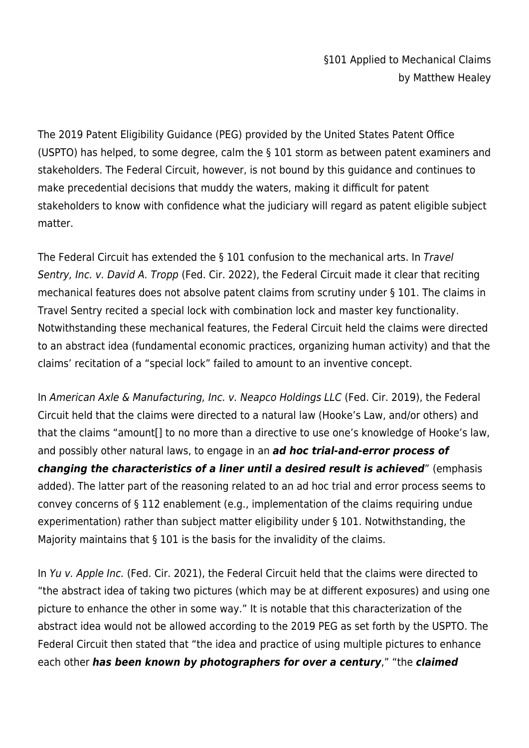The 2019 Patent Eligibility Guidance (PEG) provided by the United States Patent Office (USPTO) has helped, to some degree, calm the § 101 storm as between patent examiners and stakeholders. The Federal Circuit, however, is not bound by this guidance and continues to make precedential decisions that muddy the waters, making it difficult for patent stakeholders to know with confidence what the judiciary will regard as patent eligible subject matter.

The Federal Circuit has extended the § 101 confusion to the mechanical arts. In Travel Sentry, Inc. v. David A. Tropp (Fed. Cir. 2022), the Federal Circuit made it clear that reciting mechanical features does not absolve patent claims from scrutiny under § 101. The claims in Travel Sentry recited a special lock with combination lock and master key functionality. Notwithstanding these mechanical features, the Federal Circuit held the claims were directed to an abstract idea (fundamental economic practices, organizing human activity) and that the claims' recitation of a "special lock" failed to amount to an inventive concept.

In American Axle & Manufacturing, Inc. v. Neapco Holdings LLC (Fed. Cir. 2019), the Federal Circuit held that the claims were directed to a natural law (Hooke's Law, and/or others) and that the claims "amount[] to no more than a directive to use one's knowledge of Hooke's law, and possibly other natural laws, to engage in an *ad hoc trial-and-error process of changing the characteristics of a liner until a desired result is achieved*" (emphasis added). The latter part of the reasoning related to an ad hoc trial and error process seems to convey concerns of § 112 enablement (e.g., implementation of the claims requiring undue experimentation) rather than subject matter eligibility under § 101. Notwithstanding, the Majority maintains that § 101 is the basis for the invalidity of the claims.

In Yu v. Apple Inc. (Fed. Cir. 2021), the Federal Circuit held that the claims were directed to "the abstract idea of taking two pictures (which may be at different exposures) and using one picture to enhance the other in some way." It is notable that this characterization of the abstract idea would not be allowed according to the 2019 PEG as set forth by the USPTO. The Federal Circuit then stated that "the idea and practice of using multiple pictures to enhance each other *has been known by photographers for over a century*," "the *claimed*